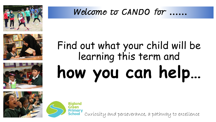

## **……**







# **how you can help…** Find out what your child will be learning this term and



Curiosity and perseverance, a pathway to excellence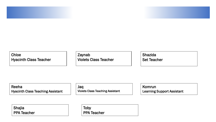#### Chloe Hyacinth Class Teacher

Zaynab Violets Class Teacher Shazida Set Teacher

Reeha Hyacinth Class Teaching Assistant Jaq Violets Class Teaching Assistant

Komrun Learning Support Assistant

Shajia PPA Teacher

Toby PPA Teacher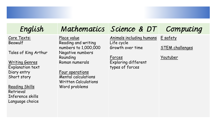### English

Core Texts: Beowulf

Tales of King Arthur

Writing Genres Explanation text Diary entry Short story

Reading Skills Retrieval Inference skills Language choice

### Mathematics Science & DT

Place value Reading and writing numbers to 1,000,000 Negative numbers Rounding Roman numerals

Four operations Mental calculations Written Calculations Word problems

Animals including humans Life cycle Growth over time

Forces Exploring different types of forces

E safety

STEM challenges

Computing

#### Youtuber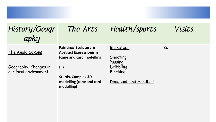| History/Geogr<br>aphy                                              | The Arts                                                                                                                                                         | Health/sports                                                                        | Visits     |
|--------------------------------------------------------------------|------------------------------------------------------------------------------------------------------------------------------------------------------------------|--------------------------------------------------------------------------------------|------------|
| The Anglo Saxons<br>Geography: Changes in<br>our local environment | Painting/Sculpture &<br><b>Abstract Expressionism</b><br>(cane and card modelling)<br>D.T<br><b>Sturdy, Complex 3D</b><br>modelling (cane and card<br>modelling) | Basketball<br>Shooting<br>Passing<br>Dribbling<br>Blocking<br>Dodgeball and Handball | <b>TBC</b> |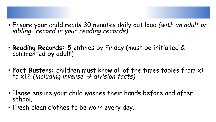- Ensure your child reads 30 minutes daily out loud *(with an adult or sibling– record in your reading records)*
- **Reading Records:** 5 entries by Friday (must be initialled & commented by adult)
- **Fact Busters:** children must know all of the times tables from x1 to x12 *(including inverse division facts)*
- Please ensure your child washes their hands before and after school.
- Fresh clean clothes to be worn every day.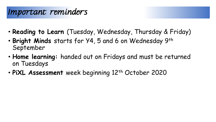#### Important reminders

- **Reading to Learn** (Tuesday, Wednesday, Thursday & Friday)
- **Bright Minds** starts for Y4, 5 and 6 on Wednesday 9th September
- **Home learning:** handed out on Fridays and must be returned on Tuesdays
- PiXL Assessment week beginning 12<sup>th</sup> October 2020